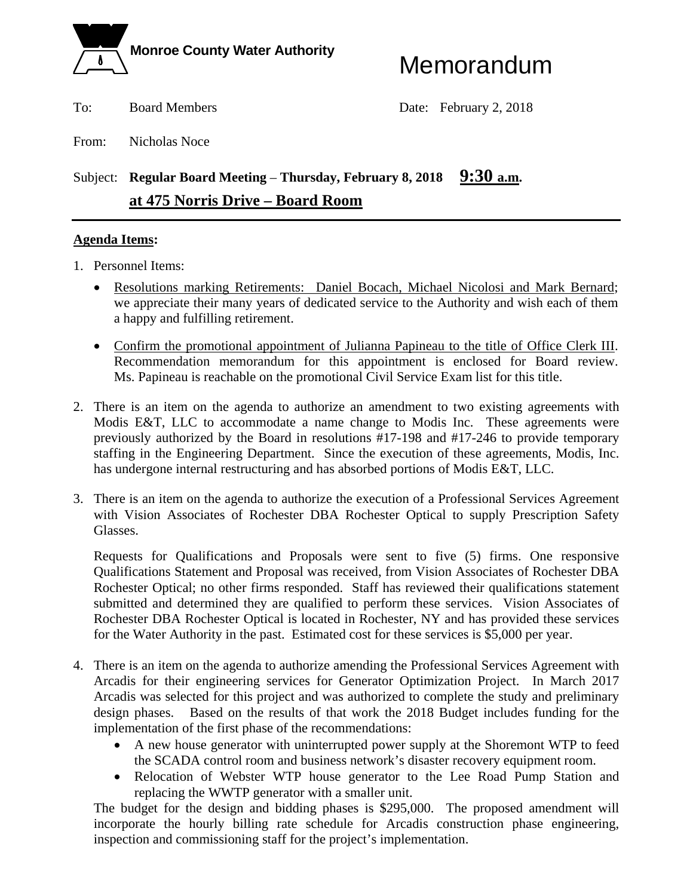

To: Board Members Date: February 2, 2018

From: Nicholas Noce

# Subject: **Regular Board Meeting – Thursday, February 8, 2018** 9:30 a.m. **at 475 Norris Drive – Board Room**

#### **Agenda Items:**

- 1. Personnel Items:
	- Resolutions marking Retirements: Daniel Bocach, Michael Nicolosi and Mark Bernard; we appreciate their many years of dedicated service to the Authority and wish each of them a happy and fulfilling retirement.
	- Confirm the promotional appointment of Julianna Papineau to the title of Office Clerk III. Recommendation memorandum for this appointment is enclosed for Board review. Ms. Papineau is reachable on the promotional Civil Service Exam list for this title.
- 2. There is an item on the agenda to authorize an amendment to two existing agreements with Modis E&T, LLC to accommodate a name change to Modis Inc. These agreements were previously authorized by the Board in resolutions #17-198 and #17-246 to provide temporary staffing in the Engineering Department. Since the execution of these agreements, Modis, Inc. has undergone internal restructuring and has absorbed portions of Modis E&T, LLC.
- 3. There is an item on the agenda to authorize the execution of a Professional Services Agreement with Vision Associates of Rochester DBA Rochester Optical to supply Prescription Safety Glasses.

Requests for Qualifications and Proposals were sent to five (5) firms. One responsive Qualifications Statement and Proposal was received, from Vision Associates of Rochester DBA Rochester Optical; no other firms responded. Staff has reviewed their qualifications statement submitted and determined they are qualified to perform these services. Vision Associates of Rochester DBA Rochester Optical is located in Rochester, NY and has provided these services for the Water Authority in the past. Estimated cost for these services is \$5,000 per year.

- 4. There is an item on the agenda to authorize amending the Professional Services Agreement with Arcadis for their engineering services for Generator Optimization Project. In March 2017 Arcadis was selected for this project and was authorized to complete the study and preliminary design phases. Based on the results of that work the 2018 Budget includes funding for the implementation of the first phase of the recommendations:
	- A new house generator with uninterrupted power supply at the Shoremont WTP to feed the SCADA control room and business network's disaster recovery equipment room.
	- Relocation of Webster WTP house generator to the Lee Road Pump Station and replacing the WWTP generator with a smaller unit.

The budget for the design and bidding phases is \$295,000. The proposed amendment will incorporate the hourly billing rate schedule for Arcadis construction phase engineering, inspection and commissioning staff for the project's implementation.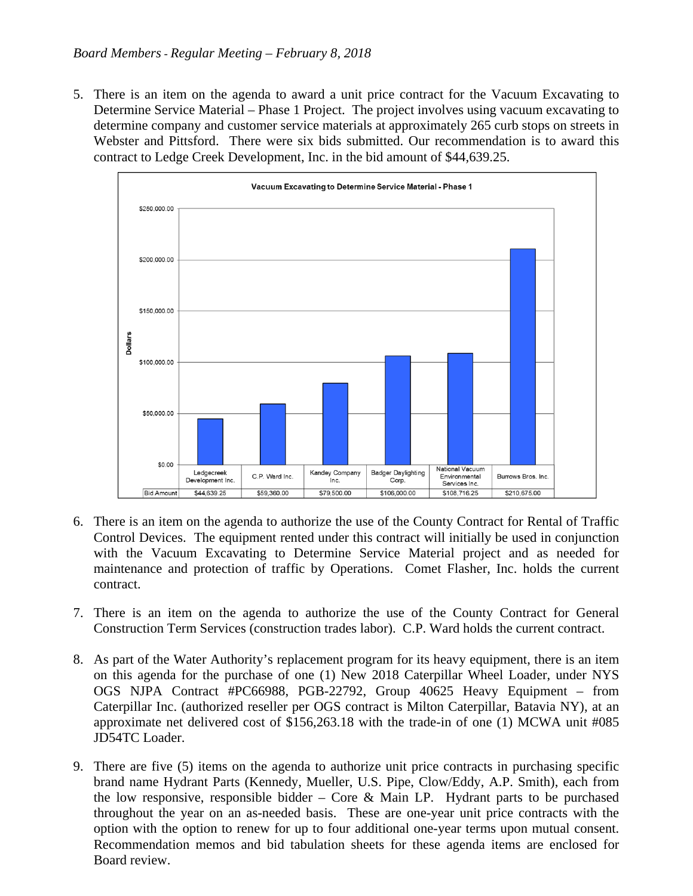5. There is an item on the agenda to award a unit price contract for the Vacuum Excavating to Determine Service Material – Phase 1 Project. The project involves using vacuum excavating to determine company and customer service materials at approximately 265 curb stops on streets in Webster and Pittsford. There were six bids submitted. Our recommendation is to award this contract to Ledge Creek Development, Inc. in the bid amount of \$44,639.25.



- 6. There is an item on the agenda to authorize the use of the County Contract for Rental of Traffic Control Devices. The equipment rented under this contract will initially be used in conjunction with the Vacuum Excavating to Determine Service Material project and as needed for maintenance and protection of traffic by Operations. Comet Flasher, Inc. holds the current contract.
- 7. There is an item on the agenda to authorize the use of the County Contract for General Construction Term Services (construction trades labor). C.P. Ward holds the current contract.
- 8. As part of the Water Authority's replacement program for its heavy equipment, there is an item on this agenda for the purchase of one (1) New 2018 Caterpillar Wheel Loader, under NYS OGS NJPA Contract #PC66988, PGB-22792, Group 40625 Heavy Equipment – from Caterpillar Inc. (authorized reseller per OGS contract is Milton Caterpillar, Batavia NY), at an approximate net delivered cost of \$156,263.18 with the trade-in of one (1) MCWA unit #085 JD54TC Loader.
- 9. There are five (5) items on the agenda to authorize unit price contracts in purchasing specific brand name Hydrant Parts (Kennedy, Mueller, U.S. Pipe, Clow/Eddy, A.P. Smith), each from the low responsive, responsible bidder – Core & Main LP. Hydrant parts to be purchased throughout the year on an as-needed basis. These are one-year unit price contracts with the option with the option to renew for up to four additional one-year terms upon mutual consent. Recommendation memos and bid tabulation sheets for these agenda items are enclosed for Board review.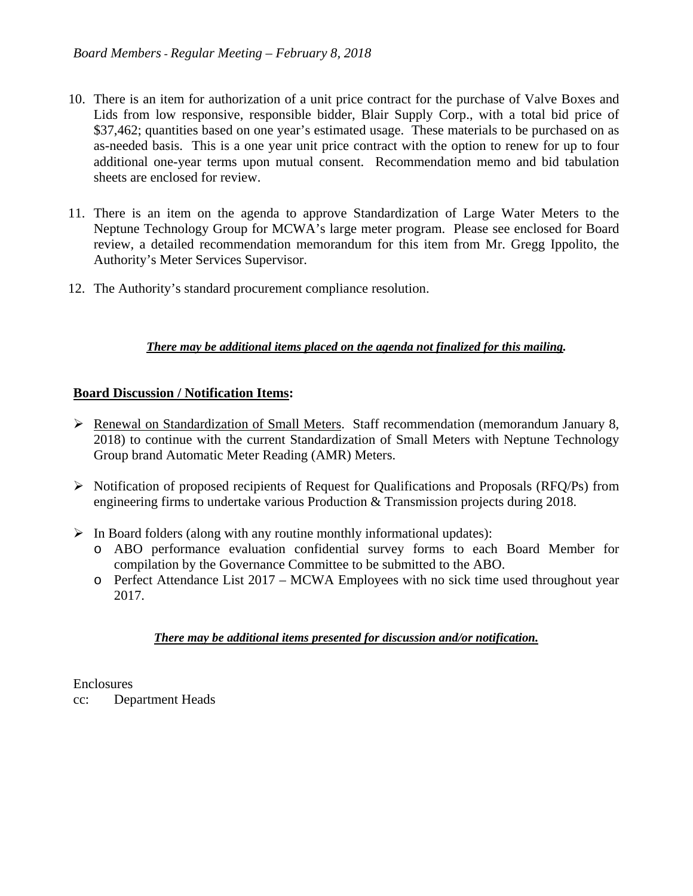- 10. There is an item for authorization of a unit price contract for the purchase of Valve Boxes and Lids from low responsive, responsible bidder, Blair Supply Corp., with a total bid price of \$37,462; quantities based on one year's estimated usage. These materials to be purchased on as as-needed basis. This is a one year unit price contract with the option to renew for up to four additional one-year terms upon mutual consent. Recommendation memo and bid tabulation sheets are enclosed for review.
- 11. There is an item on the agenda to approve Standardization of Large Water Meters to the Neptune Technology Group for MCWA's large meter program. Please see enclosed for Board review, a detailed recommendation memorandum for this item from Mr. Gregg Ippolito, the Authority's Meter Services Supervisor.
- 12. The Authority's standard procurement compliance resolution.

### *There may be additional items placed on the agenda not finalized for this mailing.*

#### **Board Discussion / Notification Items:**

- Renewal on Standardization of Small Meters. Staff recommendation (memorandum January 8, 2018) to continue with the current Standardization of Small Meters with Neptune Technology Group brand Automatic Meter Reading (AMR) Meters.
- $\triangleright$  Notification of proposed recipients of Request for Qualifications and Proposals (RFQ/Ps) from engineering firms to undertake various Production & Transmission projects during 2018.
- $\triangleright$  In Board folders (along with any routine monthly informational updates):
	- o ABO performance evaluation confidential survey forms to each Board Member for compilation by the Governance Committee to be submitted to the ABO.
	- o Perfect Attendance List 2017 MCWA Employees with no sick time used throughout year 2017.

### *There may be additional items presented for discussion and/or notification.*

#### Enclosures

cc: Department Heads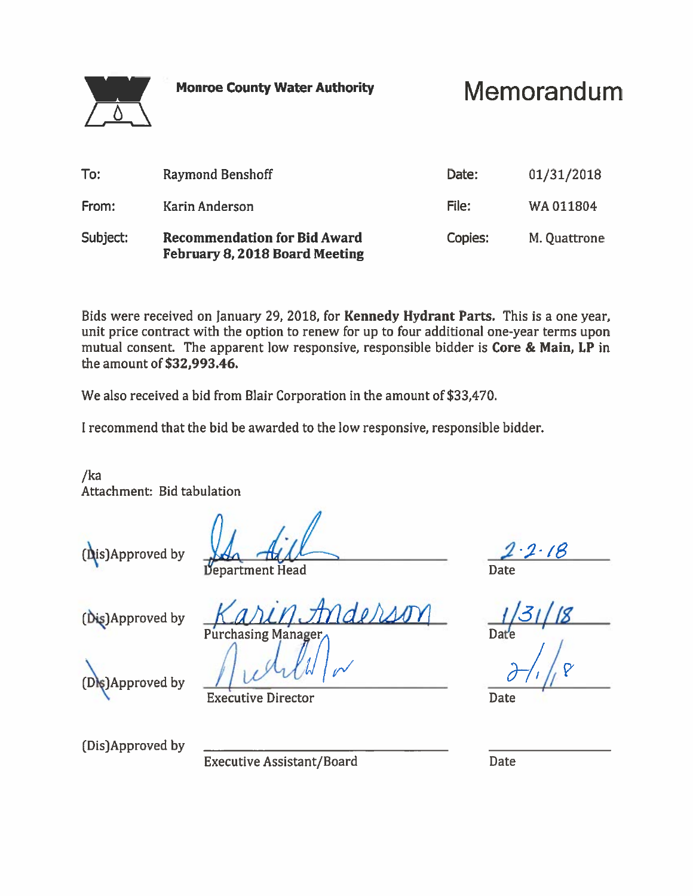Memorandum

| Subject:     | <b>Recommendation for Bid Award</b><br>February 8, 2018 Board Meeting | Copies:        | M. Quattrone           |
|--------------|-----------------------------------------------------------------------|----------------|------------------------|
| To:<br>From: | Raymond Benshoff<br><b>Karin Anderson</b>                             | Date:<br>File: | 01/31/2018<br>WA011804 |
|              |                                                                       |                |                        |

Bids were received on January 29, 2018, for Kennedy Hydrant Parts. This is a one year, unit price contract with the option to renew for up to four additional one-year terms upon mutual consent. The apparent low responsive, responsible bidder is Core & Main, LP in the amount of \$32.993.46.

We also received a bid from Blair Corporation in the amount of \$33,470.

I recommend that the bid be awarded to the low responsive, responsible bidder.

 $/ka$ Attachment: Bid tabulation



Department Head

(Dis)Approved by

Purchasing Managei

(Dis)Approved by

**Executive Director** 

(Dis)Approved by

**Executive Assistant/Board** 

Date

**Date**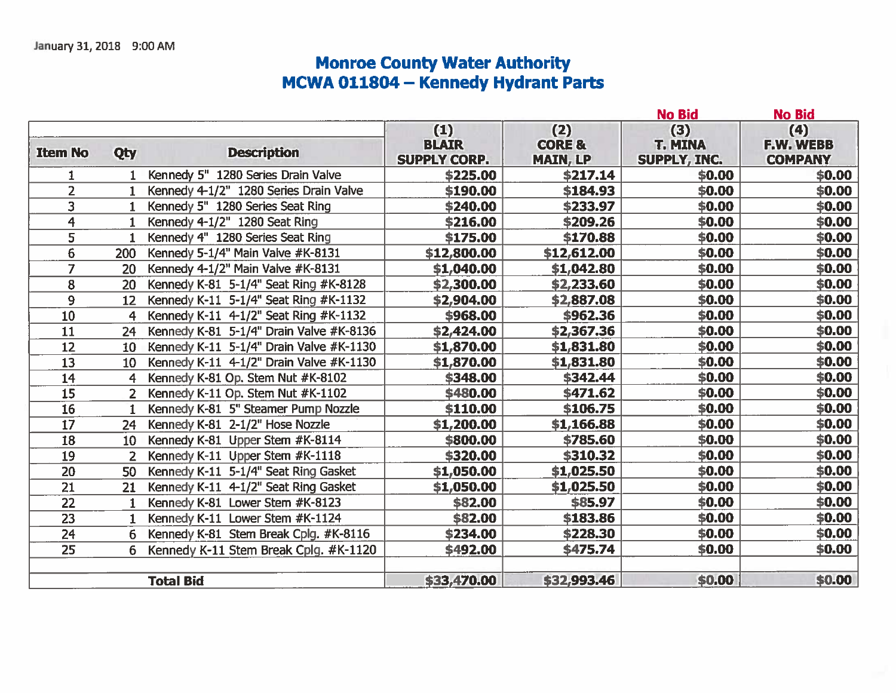# Monroe County Water Authority<br>MCWA 011804 – Kennedy Hydrant Parts

|                         |                |                                         |                                            |                                             | <b>No Bid</b>                         | <b>No Bid</b>                      |
|-------------------------|----------------|-----------------------------------------|--------------------------------------------|---------------------------------------------|---------------------------------------|------------------------------------|
| <b>Item No</b>          | Qty            | <b>Description</b>                      | (1)<br><b>BLAIR</b><br><b>SUPPLY CORP.</b> | (2)<br><b>CORE &amp;</b><br><b>MAIN, LP</b> | (3)<br><b>T. MINA</b><br>SUPPLY, INC. | (4)<br>F.W. WEBB<br><b>COMPANY</b> |
| 1                       |                | Kennedy 5" 1280 Series Drain Valve      | \$225.00                                   | \$217.14                                    | \$0.00                                | \$0.00                             |
| $\overline{2}$          | $\mathbf{1}$   | Kennedy 4-1/2" 1280 Series Drain Valve  | \$190.00                                   | \$184.93                                    | \$0.00                                | \$0.00\$                           |
| 3                       |                | Kennedy 5" 1280 Series Seat Ring        | \$240.00                                   | \$233.97                                    | \$0.00                                | \$0.00                             |
| $\overline{\mathbf{4}}$ | 1              | Kennedy 4-1/2" 1280 Seat Ring           | \$216.00                                   | \$209.26                                    | \$0.00                                | \$0.00\$                           |
| $\overline{5}$          | 1              | Kennedy 4" 1280 Series Seat Ring        | \$175.00                                   | \$170.88                                    | \$0.00                                | \$0.00\$                           |
| 6                       | 200            | Kennedy 5-1/4" Main Valve #K-8131       | \$12,800.00                                | \$12,612.00                                 | \$0.00                                | \$0.00                             |
| $\overline{7}$          | 20             | Kennedy 4-1/2" Main Valve #K-8131       | \$1,040.00                                 | \$1,042.80                                  | \$0.00                                | \$0.00                             |
| 8                       | 20             | Kennedy K-81 5-1/4" Seat Ring #K-8128   | \$2,300.00                                 | \$2,233.60                                  | \$0.00                                | \$0.00\$                           |
| 9                       | 12             | Kennedy K-11 5-1/4" Seat Ring #K-1132   | \$2,904.00                                 | \$2,887.08                                  | \$0.00                                | \$0.00                             |
| 10                      | 4              | Kennedy K-11 4-1/2" Seat Ring #K-1132   | \$968.00                                   | \$962.36                                    | \$0.00                                | \$0.00                             |
| 11                      | 24             | Kennedy K-81 5-1/4" Drain Valve #K-8136 | \$2,424.00                                 | \$2,367.36                                  | \$0.00                                | \$0.00                             |
| 12                      | 10             | Kennedy K-11 5-1/4" Drain Valve #K-1130 | \$1,870.00                                 | \$1,831.80                                  | \$0.00                                | \$0.00\$                           |
| 13                      | 10             | Kennedy K-11 4-1/2" Drain Valve #K-1130 | \$1,870.00                                 | \$1,831.80                                  | \$0.00                                | \$0.00                             |
| 14                      | 4              | Kennedy K-81 Op. Stem Nut #K-8102       | \$348.00                                   | \$342.44                                    | \$0.00                                | \$0.00                             |
| 15                      | $\overline{2}$ | Kennedy K-11 Op. Stem Nut #K-1102       | \$480.00                                   | \$471.62                                    | \$0.00                                | \$0.00                             |
| 16                      | 1              | Kennedy K-81 5" Steamer Pump Nozzle     | \$110.00                                   | \$106.75                                    | \$0.00                                | \$0.00\$                           |
| $\overline{17}$         | 24             | Kennedy K-81 2-1/2" Hose Nozzle         | \$1,200.00                                 | \$1,166.88                                  | \$0.00                                | \$0.00                             |
| 18                      | 10             | Kennedy K-81 Upper Stem #K-8114         | \$800.00                                   | \$785.60                                    | \$0.00                                | \$0.00\$                           |
| 19                      | 2              | Kennedy K-11 Upper Stem #K-1118         | \$320.00                                   | \$310.32                                    | \$0.00                                | \$0.00                             |
| 20                      | 50             | Kennedy K-11 5-1/4" Seat Ring Gasket    | \$1,050.00                                 | \$1,025.50                                  | \$0.00                                | \$0.00                             |
| 21                      | 21             | Kennedy K-11 4-1/2" Seat Ring Gasket    | \$1,050.00                                 | \$1,025.50                                  | \$0.00                                | \$0.00                             |
| $\overline{22}$         |                | Kennedy K-81 Lower Stem #K-8123         | \$82.00                                    | \$85.97                                     | \$0.00                                | \$0.00\$                           |
| 23                      | $\mathbf{1}$   | Kennedy K-11 Lower Stem #K-1124         | \$82.00                                    | \$183.86                                    | \$0.00                                | \$0.00\$                           |
| 24                      | 6              | Kennedy K-81 Stem Break Cplg. #K-8116   | \$234.00                                   | \$228.30                                    | \$0.00                                | \$0.00                             |
| 25                      | 6              | Kennedy K-11 Stem Break Cplg. #K-1120   | \$492.00                                   | \$475.74                                    | \$0.00                                | \$0.00                             |
|                         |                | <b>Total Bid</b>                        | \$33,470.00                                | \$32,993.46                                 | \$0.00                                | \$0.00                             |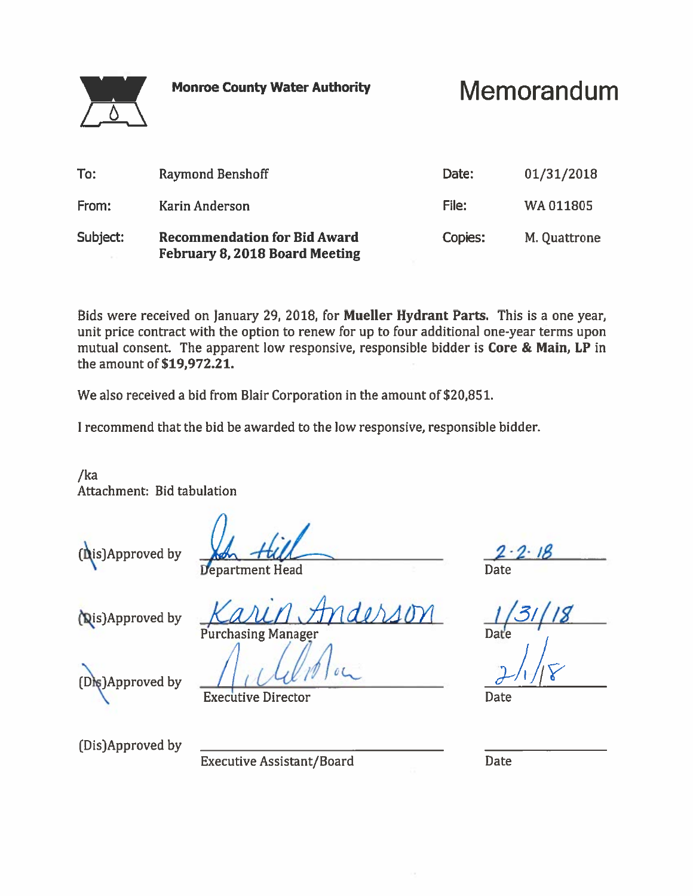**Memorandum** 

| To:      | Raymond Benshoff                                                             | Date:   | 01/31/2018   |
|----------|------------------------------------------------------------------------------|---------|--------------|
| From:    | Karin Anderson                                                               | File:   | WA011805     |
| Subject: | <b>Recommendation for Bid Award</b><br><b>February 8, 2018 Board Meeting</b> | Copies: | M. Quattrone |

Bids were received on January 29, 2018, for Mueller Hydrant Parts. This is a one year, unit price contract with the option to renew for up to four additional one-year terms upon mutual consent. The apparent low responsive, responsible bidder is Core & Main, LP in the amount of \$19,972.21.

We also received a bid from Blair Corporation in the amount of \$20,851.

I recommend that the bid be awarded to the low responsive, responsible bidder.

 $/ka$ Attachment: Bid tabulation



Department Head

(Dis)Approved by

**Purchasing Manager** 

(Dis)Approved by

**Executive Director** 

Date

**Date** 

(Dis)Approved by

**Executive Assistant/Board**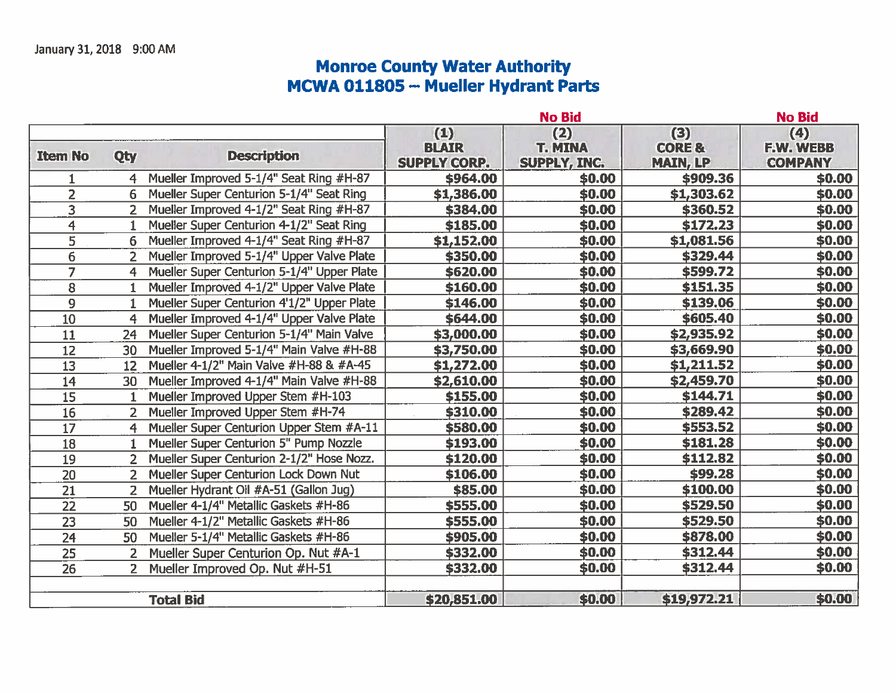# **Monroe County Water Authority<br>MCWA 011805 -- Mueller Hydrant Parts**

|                 |                |                                            |                                            | <b>No Bid</b>                         |                                             | <b>No Bid</b>                             |
|-----------------|----------------|--------------------------------------------|--------------------------------------------|---------------------------------------|---------------------------------------------|-------------------------------------------|
| <b>Item No</b>  | Qty            | <b>Description</b>                         | (1)<br><b>BLAIR</b><br><b>SUPPLY CORP.</b> | (2)<br><b>T. MINA</b><br>SUPPLY, INC. | (3)<br><b>CORE &amp;</b><br><b>MAIN, LP</b> | (4)<br><b>F.W. WEBB</b><br><b>COMPANY</b> |
|                 | 4              | Mueller Improved 5-1/4" Seat Ring #H-87    | \$964.00                                   | \$0.00                                | \$909.36                                    | \$0.00                                    |
| $\overline{2}$  | 6              | Mueller Super Centurion 5-1/4" Seat Ring   | \$1,386.00                                 | \$0.00                                | \$1,303.62                                  | \$0.00                                    |
| 3               | $\overline{2}$ | Mueller Improved 4-1/2" Seat Ring #H-87    | \$384.00                                   | \$0.00                                | \$360.52                                    | \$0.00                                    |
| $\overline{4}$  | 1              | Mueller Super Centurion 4-1/2" Seat Ring   | \$185.00                                   | \$0.00                                | \$172.23                                    | \$0.00                                    |
| $\overline{5}$  | 6              | Mueller Improved 4-1/4" Seat Ring #H-87    | \$1,152.00                                 | \$0.00                                | \$1,081.56                                  | \$0.00                                    |
| 6               | $\overline{2}$ | Mueller Improved 5-1/4" Upper Valve Plate  | \$350.00                                   | \$0.00                                | \$329.44                                    | \$0.00                                    |
| $\overline{7}$  | 4              | Mueller Super Centurion 5-1/4" Upper Plate | \$620.00                                   | \$0.00                                | \$599.72                                    | \$0.00                                    |
| 8               | 1              | Mueller Improved 4-1/2" Upper Valve Plate  | \$160.00                                   | \$0.00                                | \$151.35                                    | \$0.00                                    |
| 9               | 1              | Mueller Super Centurion 4'1/2" Upper Plate | \$146.00                                   | \$0.00                                | \$139.06                                    | \$0.00                                    |
| 10              | 4              | Mueller Improved 4-1/4" Upper Valve Plate  | \$644.00                                   | \$0.00                                | \$605.40                                    | \$0.00                                    |
| 11              | 24             | Mueller Super Centurion 5-1/4" Main Valve  | \$3,000.00                                 | \$0.00                                | \$2,935.92                                  | \$0.00                                    |
| 12              | 30             | Mueller Improved 5-1/4" Main Valve #H-88   | \$3,750.00                                 | \$0.00                                | \$3,669.90                                  | \$0.00                                    |
| $\overline{13}$ | 12             | Mueller 4-1/2" Main Valve #H-88 & #A-45    | \$1,272.00                                 | \$0.00                                | \$1,211.52                                  | \$0.00                                    |
| 14              | 30             | Mueller Improved 4-1/4" Main Valve #H-88   | \$2,610.00                                 | \$0.00                                | \$2,459.70                                  | \$0.00                                    |
| $\overline{15}$ |                | Mueller Improved Upper Stem #H-103         | \$155.00                                   | \$0.00                                | \$144.71                                    | \$0.00                                    |
| 16              | $\overline{2}$ | Mueller Improved Upper Stem #H-74          | \$310.00                                   | \$0.00                                | \$289.42                                    | \$0.00                                    |
| $\overline{17}$ | 4              | Mueller Super Centurion Upper Stem #A-11   | \$580.00                                   | \$0.00                                | \$553.52                                    | \$0.00                                    |
| $\overline{18}$ | 1              | Mueller Super Centurion 5" Pump Nozzle     | \$193.00                                   | \$0.00                                | \$181.28                                    | \$0.00                                    |
| 19              |                | Mueller Super Centurion 2-1/2" Hose Nozz.  | \$120.00                                   | \$0.00                                | \$112.82                                    | \$0.00                                    |
| 20              | $\overline{2}$ | Mueller Super Centurion Lock Down Nut      | \$106.00                                   | \$0.00                                | \$99.28                                     | \$0.00                                    |
| $\overline{21}$ | $\overline{2}$ | Mueller Hydrant Oil #A-51 (Gallon Jug)     | \$85.00                                    | \$0.00                                | \$100.00                                    | \$0.00                                    |
| 22              | 50             | Mueller 4-1/4" Metallic Gaskets #H-86      | \$555.00                                   | \$0.00                                | \$529.50                                    | \$0.00                                    |
| 23              | 50             | Mueller 4-1/2" Metallic Gaskets #H-86      | \$555.00                                   | \$0.00                                | \$529.50                                    | \$0.00                                    |
| $\overline{24}$ | 50             | Mueller 5-1/4" Metallic Gaskets #H-86      | \$905.00                                   | \$0.00                                | \$878.00                                    | \$0.00                                    |
| 25              | $\overline{2}$ | Mueller Super Centurion Op. Nut #A-1       | \$332.00                                   | \$0.00                                | \$312.44                                    | \$0.00                                    |
| 26              |                | Mueller Improved Op. Nut #H-51             | \$332.00                                   | \$0.00                                | \$312.44                                    | \$0.00                                    |
|                 |                | <b>Total Bid</b>                           | \$20,851.00                                | \$0.00                                | \$19,972.21                                 | \$0.00                                    |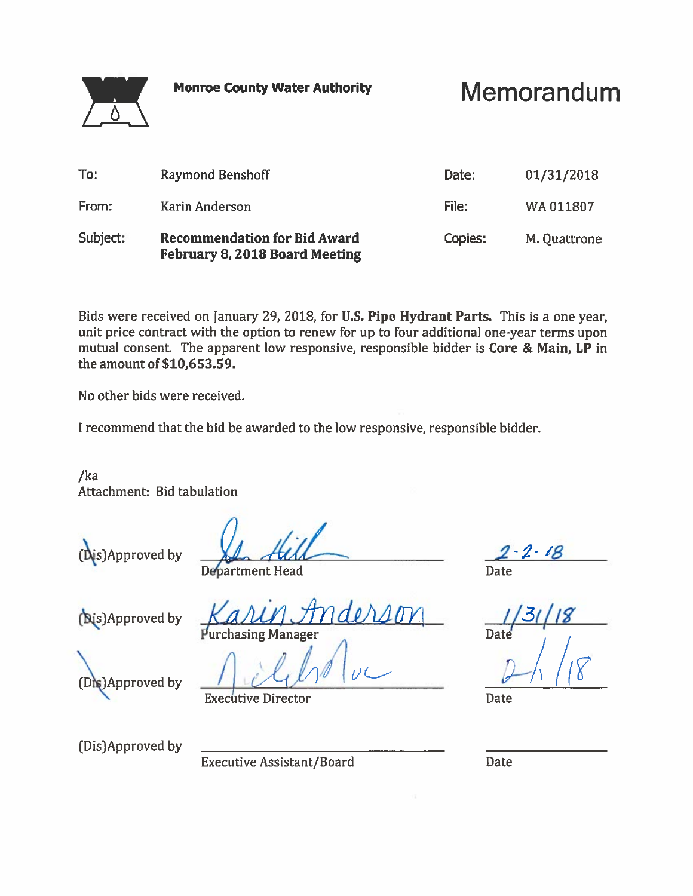Memorandum

| To:      | Raymond Benshoff                                                      | Date:   | 01/31/2018   |
|----------|-----------------------------------------------------------------------|---------|--------------|
| From:    | Karin Anderson                                                        | File:   | WA011807     |
| Subject: | <b>Recommendation for Bid Award</b><br>February 8, 2018 Board Meeting | Copies: | M. Quattrone |

Bids were received on January 29, 2018, for U.S. Pipe Hydrant Parts. This is a one year, unit price contract with the option to renew for up to four additional one-year terms upon mutual consent. The apparent low responsive, responsible bidder is Core & Main, LP in the amount of \$10,653.59.

No other bids were received.

I recommend that the bid be awarded to the low responsive, responsible bidder.

 $/ka$ Attachment: Bid tabulation

(Dis)Approved by

**Department Head** 

(Nis) Approved by

**Purchasing Manager** 

(Dis)Approved by

**Executive Director** 

**Date** 

**Date** 

(Dis)Approved by

**Executive Assistant/Board**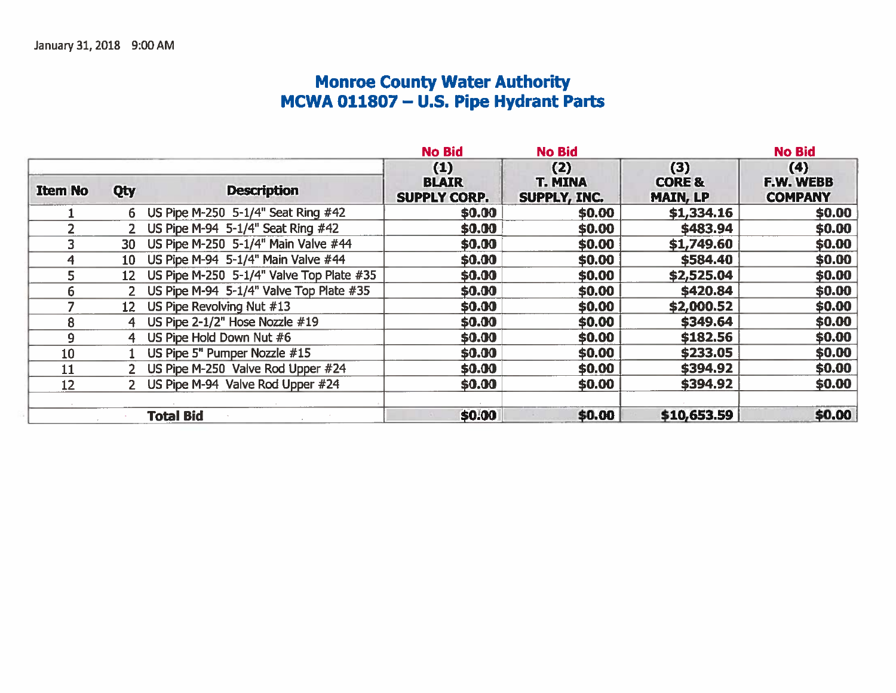# Monroe County Water Authority<br>MCWA 011807 - U.S. Pipe Hydrant Parts

|                |                 |                                          | <b>No Bid</b>                              | <b>No Bid</b>                         |                                             | <b>No Bid</b>                      |
|----------------|-----------------|------------------------------------------|--------------------------------------------|---------------------------------------|---------------------------------------------|------------------------------------|
| <b>Item No</b> | Qty             | <b>Description</b>                       | (1)<br><b>BLAIR</b><br><b>SUPPLY CORP.</b> | (2)<br><b>T. MINA</b><br>SUPPLY, INC. | (3)<br><b>CORE &amp;</b><br><b>MAIN, LP</b> | (4)<br>F.W. WEBB<br><b>COMPANY</b> |
|                |                 | 6 US Pipe M-250 5-1/4" Seat Ring #42     | \$0.00                                     | \$0.00                                | \$1,334.16                                  | \$0.00                             |
|                |                 | 2 US Pipe M-94 5-1/4" Seat Ring #42      | \$0.00                                     | \$0.00                                | \$483.94                                    | \$0.00                             |
|                | 30 <sup>°</sup> | US Pipe M-250 5-1/4" Main Valve #44      | \$0.00                                     | \$0.00                                | \$1,749.60                                  | \$0.00                             |
| 4              | $10-10$         | US Pipe M-94 5-1/4" Main Valve #44       | \$0.00                                     | \$0.00                                | \$584.40                                    | \$0.00                             |
| 5 <sup>1</sup> | 12              | US Pipe M-250 5-1/4" Valve Top Plate #35 | \$0.00                                     | \$0.00                                | \$2,525.04                                  | \$0.00                             |
| 6              |                 | US Pipe M-94 5-1/4" Valve Top Plate #35  | \$0.00                                     | \$0.00                                | \$420.84                                    | \$0.00                             |
|                | $12-$           | US Pipe Revolving Nut #13                | \$0.00                                     | \$0.00                                | \$2,000.52                                  | \$0.00                             |
| 8              | 4               | US Pipe 2-1/2" Hose Nozzle #19           | \$0.00                                     | \$0.00                                | \$349.64                                    | \$0.00                             |
| 9              | 4               | US Pipe Hold Down Nut #6                 | \$0.00                                     | \$0.00                                | \$182.56                                    | \$0.00                             |
| 10             |                 | US Pipe 5" Pumper Nozzle #15             | \$0.00                                     | \$0.00                                | \$233.05                                    | \$0.00                             |
| 11             |                 | 2 US Pipe M-250 Valve Rod Upper #24      | \$0.00                                     | \$0.00                                | \$394.92                                    | \$0.00                             |
| 12             |                 | 2 US Pipe M-94 Valve Rod Upper #24       | \$0.00                                     | \$0.00                                | \$394.92                                    | \$0.00                             |
|                |                 | <b>Total Bid</b>                         | \$0.00                                     | \$0.00                                | \$10,653.59                                 | \$0.00                             |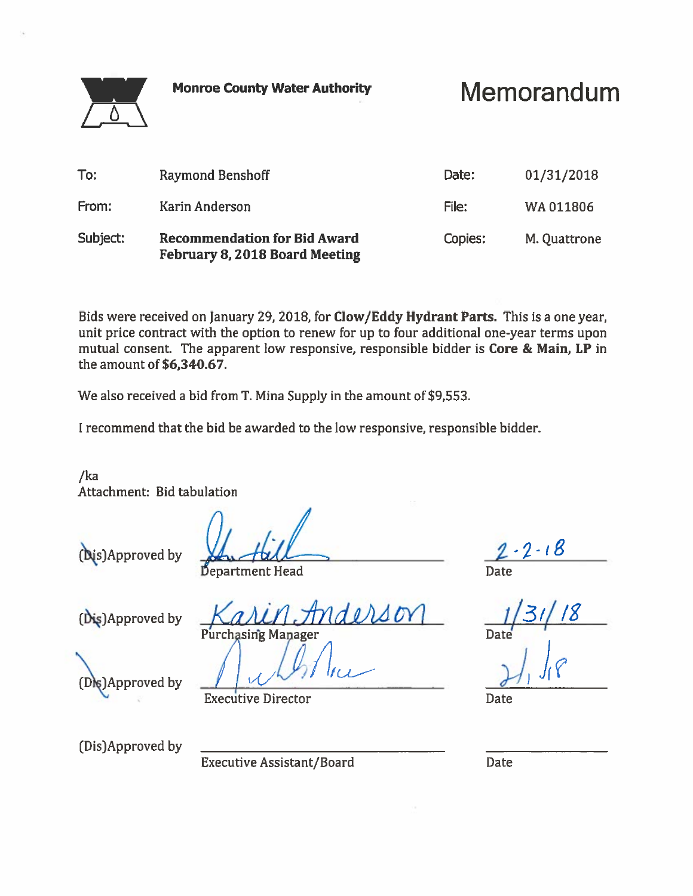Memorandum

| To:      | <b>Raymond Benshoff</b>                                               | Date:   | 01/31/2018   |
|----------|-----------------------------------------------------------------------|---------|--------------|
| From:    | Karin Anderson                                                        | File:   | WA011806     |
| Subject: | <b>Recommendation for Bid Award</b><br>February 8, 2018 Board Meeting | Copies: | M. Quattrone |

Bids were received on January 29, 2018, for Clow/Eddy Hydrant Parts. This is a one year, unit price contract with the option to renew for up to four additional one-year terms upon mutual consent. The apparent low responsive, responsible bidder is Core & Main, LP in the amount of \$6,340.67.

We also received a bid from T. Mina Supply in the amount of \$9,553.

I recommend that the bid be awarded to the low responsive, responsible bidder.

 $/ka$ Attachment: Bid tabulation

(Dis)Approved by

Department Head

(Dis)Approved by

Purchasing Manager

 $(D)$ s) Approved by

**Executive Director** 

**Date** 

**Date** 

(Dis)Approved by

**Executive Assistant/Board**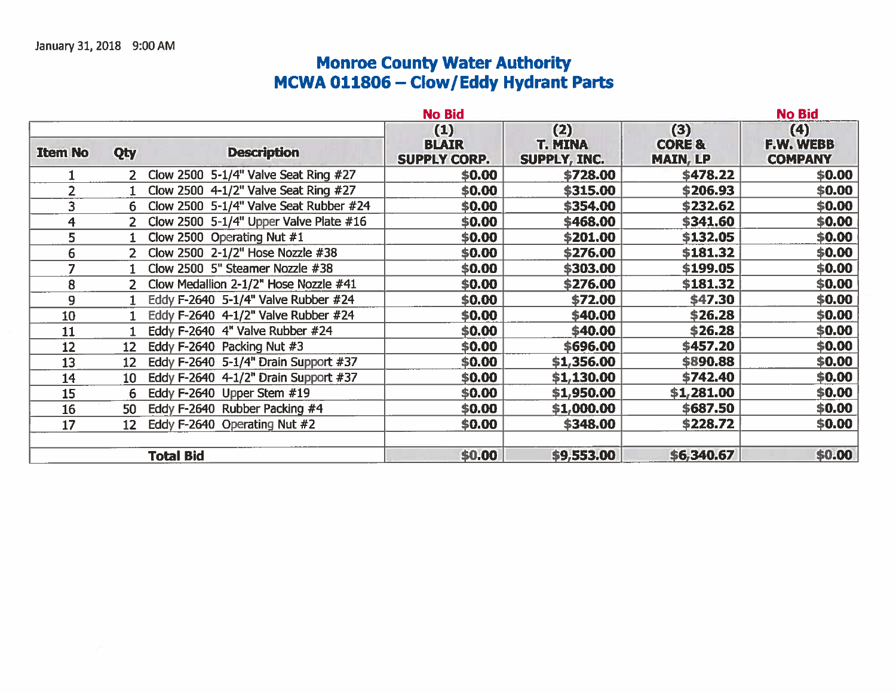# Monroe County Water Authority<br>MCWA 011806 – Clow/Eddy Hydrant Parts

|                |                 |                                          | <b>No Bid</b>                              |                                       |                                             | <b>No Bid</b>                             |
|----------------|-----------------|------------------------------------------|--------------------------------------------|---------------------------------------|---------------------------------------------|-------------------------------------------|
| <b>Item No</b> | Qty             | <b>Description</b>                       | (1)<br><b>BLAIR</b><br><b>SUPPLY CORP.</b> | (2)<br><b>T. MINA</b><br>SUPPLY, INC. | (3)<br><b>CORE &amp;</b><br><b>MAIN, LP</b> | (4)<br><b>F.W. WEBB</b><br><b>COMPANY</b> |
|                | $2 -$           | Clow 2500 5-1/4" Valve Seat Ring #27     | \$0.00                                     | \$728.00                              | \$478.22                                    | \$0.00                                    |
| 2              |                 | Clow 2500 4-1/2" Valve Seat Ring #27     | \$0.00                                     | \$315.00                              | \$206.93                                    | \$0.00                                    |
| 3              | 6.              | Clow 2500 5-1/4" Valve Seat Rubber #24   | \$0.00                                     | \$354.00                              | \$232.62                                    | \$0.00                                    |
| 4              |                 | Clow 2500 5-1/4" Upper Valve Plate $#16$ | \$0.00                                     | \$468.00                              | \$341.60                                    | \$0.00\$                                  |
| 5              |                 | Clow 2500 Operating Nut #1               | \$0.00                                     | \$201.00                              | \$132.05                                    | \$0.00                                    |
| 6              |                 | Clow 2500 2-1/2" Hose Nozzle #38         | \$0.00                                     | \$276.00                              | \$181.32                                    | \$0.00                                    |
| 7              |                 | Clow 2500 5" Steamer Nozzle #38          | \$0.00                                     | \$303.00                              | \$199.05                                    | \$0.00                                    |
| 8              |                 | Clow Medallion 2-1/2" Hose Nozzle #41    | \$0.00\$                                   | \$276.00                              | \$181.32                                    | \$0.00\$                                  |
| 9              |                 | Eddy F-2640 5-1/4" Valve Rubber #24      | \$0.00                                     | \$72.00                               | \$47.30                                     | \$0.00                                    |
| 10             |                 | Eddy F-2640 4-1/2" Valve Rubber #24      | \$0.00                                     | \$40.00                               | \$26.28                                     | \$0.00                                    |
| 11             |                 | Eddy F-2640 4" Valve Rubber #24          | \$0.00                                     | \$40.00                               | \$26.28                                     | \$0.00                                    |
| 12             | 12 <sub>2</sub> | Eddy F-2640 Packing Nut #3               | \$0.00                                     | \$696.00                              | \$457.20                                    | \$0.00\$                                  |
| 13             | 12 <sup>2</sup> | Eddy F-2640 5-1/4" Drain Support #37     | \$0.00                                     | \$1,356.00                            | \$890.88                                    | \$0.00                                    |
| 14             | 10              | Eddy F-2640 4-1/2" Drain Support #37     | \$0.00                                     | \$1,130.00                            | \$742.40                                    | \$0.00                                    |
| 15             | 6               | Eddy F-2640 Upper Stem #19               | \$0.00                                     | \$1,950.00                            | \$1,281.00                                  | \$0.00                                    |
| 16             | 50              | Eddy F-2640 Rubber Packing #4            | \$0.00\$                                   | \$1,000.00                            | \$687.50                                    | \$0.00                                    |
| 17             | 12 <sup>2</sup> | Eddy F-2640 Operating Nut #2             | \$0.00                                     | \$348.00                              | \$228.72                                    | \$0.00                                    |
|                |                 | <b>Total Bid</b>                         | \$0.00                                     | \$9,553.00                            | \$6,340.67                                  | \$0.00                                    |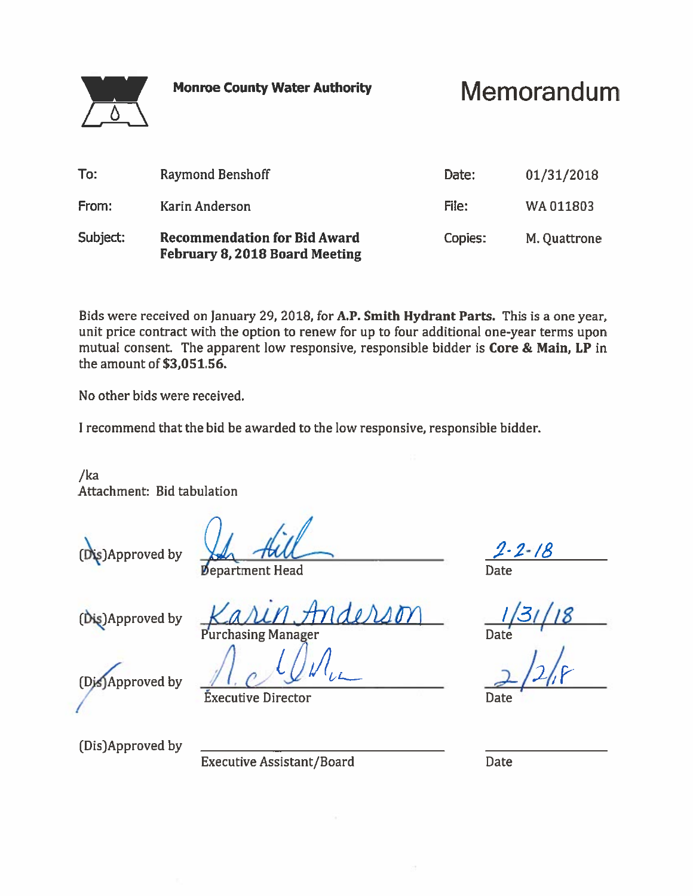Memorandum

| To:      | Raymond Benshoff                                                      | Date:   | 01/31/2018   |
|----------|-----------------------------------------------------------------------|---------|--------------|
| From:    | Karin Anderson                                                        | File:   | WA011803     |
| Subject: | <b>Recommendation for Bid Award</b><br>February 8, 2018 Board Meeting | Copies: | M. Quattrone |

Bids were received on January 29, 2018, for A.P. Smith Hydrant Parts. This is a one year, unit price contract with the option to renew for up to four additional one-year terms upon mutual consent. The apparent low responsive, responsible bidder is Core & Main, LP in the amount of \$3,051.56.

No other bids were received.

I recommend that the bid be awarded to the low responsive, responsible bidder.

 $/ka$ Attachment: Bid tabulation

s)Approved by

**Department Head** 

(Dis)Approved by

**Purchasing Manager** 

(Dis)Approved by

**Éxecutive Director** 

Date

(Dis)Approved by

**Executive Assistant/Board**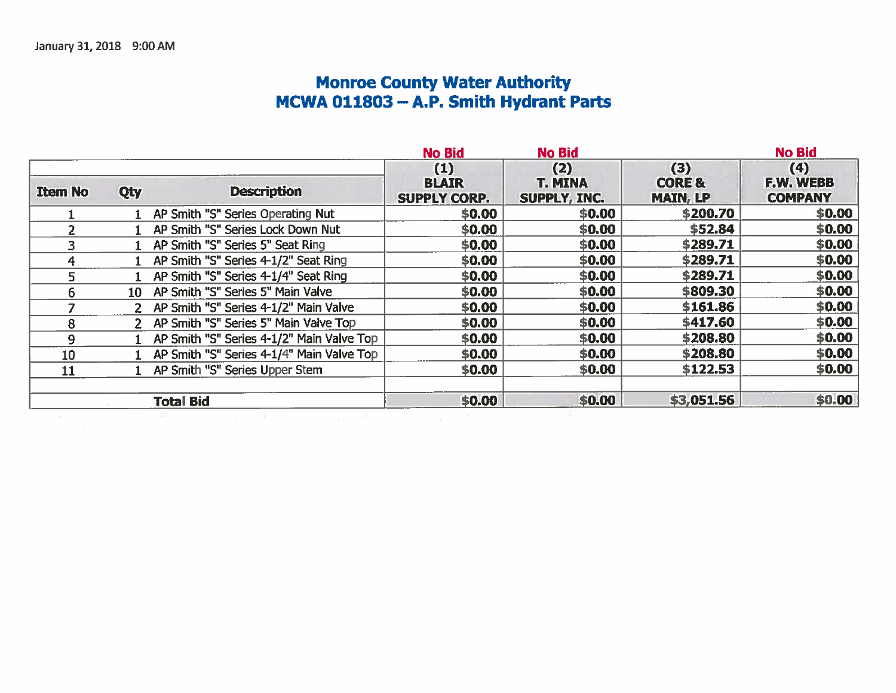# Monroe County Water Authority<br>MCWA 011803 – A.P. Smith Hydrant Parts

|                                             | <b>No Bid</b>                              | <b>No Bid</b>                                |                                             | <b>No Bid</b>                      |
|---------------------------------------------|--------------------------------------------|----------------------------------------------|---------------------------------------------|------------------------------------|
| <b>Description</b>                          | (1)<br><b>BLAIR</b><br><b>SUPPLY CORP.</b> | (2)<br><b>T. MINA</b><br><b>SUPPLY, INC.</b> | (3)<br><b>CORE &amp;</b><br><b>MAIN, LP</b> | (4)<br>F.W. WEBB<br><b>COMPANY</b> |
| 1 AP Smith "S" Series Operating Nut         | \$0.00                                     | \$0.00                                       | \$200.70                                    | \$0.00                             |
| 1 AP Smith "S" Series Lock Down Nut         | \$0.00                                     | \$0.00                                       | \$52.84                                     | \$0.00                             |
| 1 AP Smith "S" Series 5" Seat Ring          | \$0.00                                     | \$0.00                                       | \$289.71                                    | \$0.00                             |
| 1 AP Smith "S" Series 4-1/2" Seat Ring      | \$0.00                                     | \$0.00                                       | \$289.71                                    | \$0.00                             |
| 1 AP Smith "S" Series 4-1/4" Seat Ring      | \$0.00                                     | \$0.00                                       | \$289.71                                    | \$0.00                             |
| 10 AP Smith "S" Series 5" Main Valve        | \$0.00                                     | \$0.00                                       | \$809.30                                    | \$0.00\$                           |
| 2 AP Smith "S" Series 4-1/2" Main Valve     | \$0.00                                     | \$0.00                                       | \$161.86                                    | \$0.00                             |
| 2 AP Smith "S" Series 5" Main Valve Top     | \$0.00                                     | \$0.00                                       | \$417.60                                    | \$0.00                             |
| 1 AP Smith "S" Series 4-1/2" Main Valve Top | \$0.00                                     | \$0.00                                       | \$208.80                                    | \$0.00\$                           |
| 1 AP Smith "S" Series 4-1/4" Main Valve Top | \$0.00\$                                   | \$0.00                                       | \$208.80                                    | \$0.00                             |
| 1 AP Smith "S" Series Upper Stem            | \$0.00                                     | \$0.00                                       | \$122.53                                    | \$0.00                             |
|                                             | \$0.00                                     | \$0.00                                       | \$3,051.56                                  | \$0.00                             |
|                                             |                                            |                                              |                                             |                                    |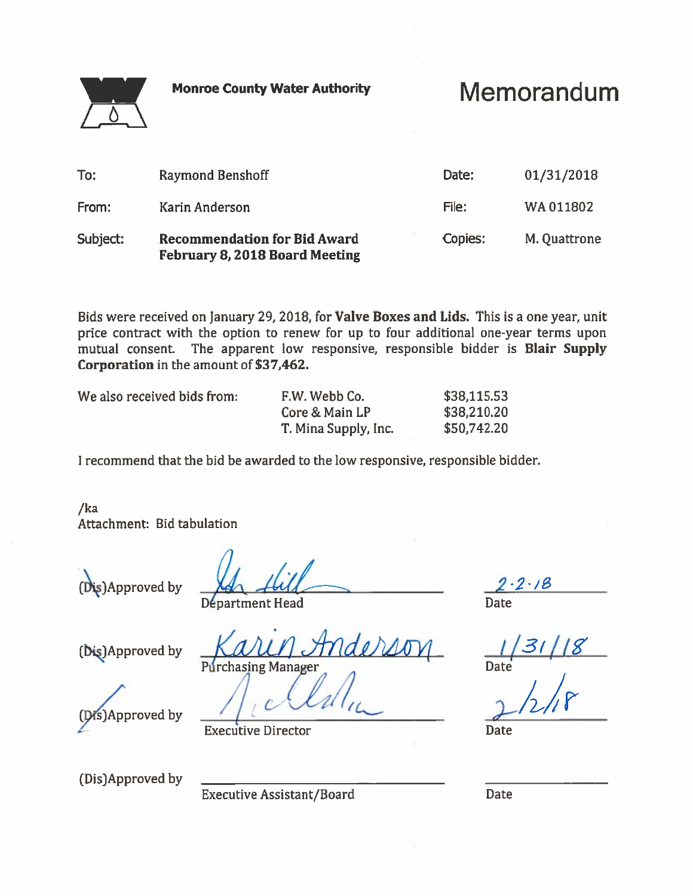# Memorandum

| To:      | <b>Raymond Benshoff</b>                                                      | Date:   | 01/31/2018   |
|----------|------------------------------------------------------------------------------|---------|--------------|
| From:    | Karin Anderson                                                               | File:   | WA011802     |
| Subject: | <b>Recommendation for Bid Award</b><br><b>February 8, 2018 Board Meeting</b> | Copies: | M. Quattrone |

Bids were received on January 29, 2018, for Valve Boxes and Lids. This is a one year, unit price contract with the option to renew for up to four additional one-year terms upon mutual consent. The apparent low responsive, responsible bidder is Blair Supply Corporation in the amount of \$37,462.

| We also received bids from: |  |
|-----------------------------|--|
|-----------------------------|--|

| We also received bids from: \ | F.W. Webb Co.        | \$38,115.53 |
|-------------------------------|----------------------|-------------|
|                               | Core & Main LP       | \$38,210.20 |
|                               | T. Mina Supply, Inc. | \$50,742.20 |

I recommend that the bid be awarded to the low responsive, responsible bidder.

 $/ka$ Attachment: Bid tabulation

(Dis)Approved by

nderso

 $-2.18$ Date

Départment Head

(Dis)Approved by

Approved by

**Executive Director** 

**Purchasing Manager** 

(Dis)Approved by

**Executive Assistant/Board** 

**Date**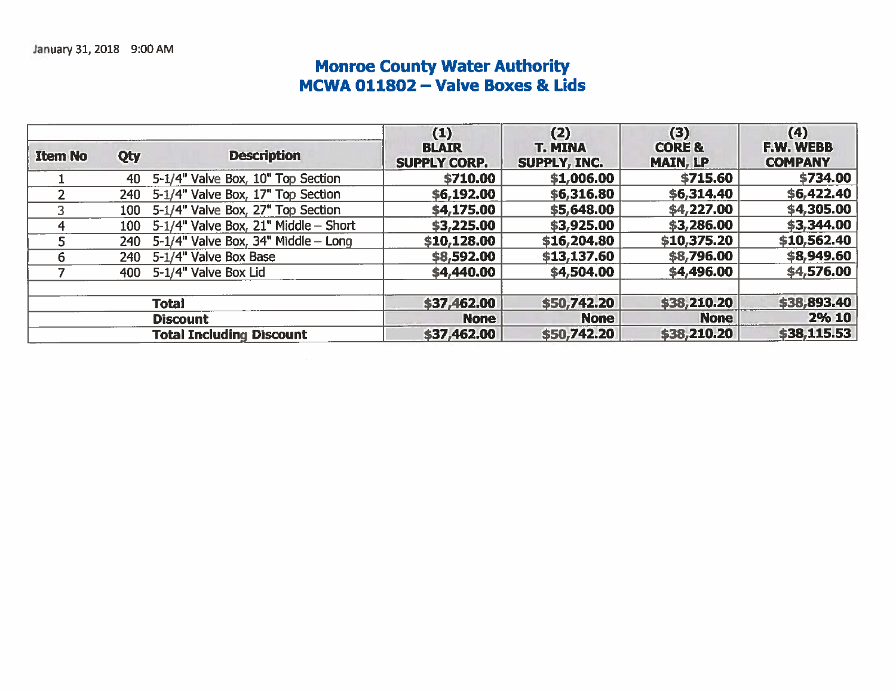# Monroe County Water Authority<br>MCWA 011802 - Valve Boxes & Lids

| <b>Item No</b> | Qty | <b>Description</b>                          | (1)<br><b>BLAIR</b><br><b>SUPPLY CORP.</b> | (2)<br><b>T. MINA</b><br>SUPPLY, INC. | (3)<br><b>CORE &amp;</b><br><b>MAIN, LP</b> | (4)<br>F.W. WEBB<br><b>COMPANY</b> |
|----------------|-----|---------------------------------------------|--------------------------------------------|---------------------------------------|---------------------------------------------|------------------------------------|
|                |     | 40 5-1/4" Valve Box, 10" Top Section        | \$710.00                                   | \$1,006.00                            | \$715.60                                    | \$734.00                           |
|                |     | 240 5-1/4" Valve Box, 17" Top Section       | \$6,192.00                                 | \$6,316.80                            | \$6,314.40                                  | \$6,422.40                         |
|                |     | 100 5-1/4" Valve Box, 27" Top Section       | \$4,175.00                                 | \$5,648.00                            | \$4,227.00                                  | \$4,305.00                         |
|                |     | 100 $5-1/4$ " Valve Box, 21" Middle - Short | \$3,225.00                                 | \$3,925.00                            | \$3,286.00                                  | \$3,344.00                         |
|                |     | 240 $5-1/4"$ Valve Box, 34" Middle - Long   | \$10,128.00                                | \$16,204.80                           | \$10,375.20                                 | \$10,562.40                        |
| ь              |     | 240 5-1/4" Valve Box Base                   | \$8,592.00                                 | \$13,137.60                           | \$8,796.00                                  | \$8,949.60                         |
|                |     | 400 5-1/4" Valve Box Lid                    | \$4,440.00                                 | \$4,504.00                            | \$4,496.00                                  | \$4,576.00                         |
|                |     | <b>Total</b>                                | \$37,462.00                                | \$50,742.20                           | \$38,210.20                                 | \$38,893.40                        |
|                |     | <b>Discount</b>                             | <b>None</b>                                | <b>None</b>                           | <b>None</b>                                 | 2% 10                              |
|                |     | <b>Total Including Discount</b>             | \$37,462.00                                | \$50,742.20                           | \$38,210.20                                 | \$38,115.53                        |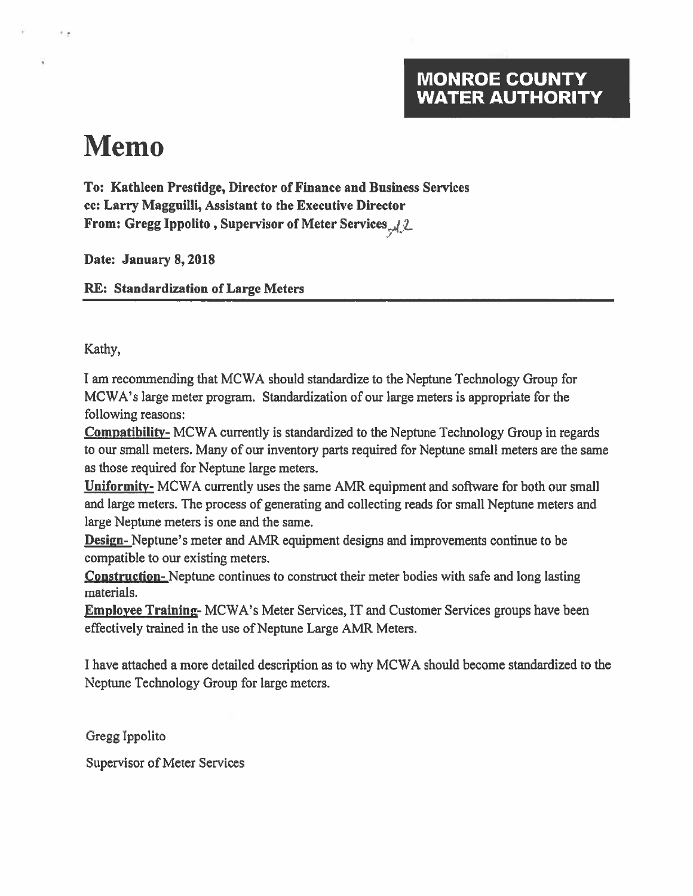## **MONROE COUNTY WATER AUTHORITY**

# **Memo**

۰.

To: Kathleen Prestidge, Director of Finance and Business Services cc: Larry Magguilli, Assistant to the Executive Director From: Gregg Ippolito, Supervisor of Meter Services, 12

Date: January 8, 2018

**RE: Standardization of Large Meters** 

Kathy,

I am recommending that MCWA should standardize to the Neptune Technology Group for MCWA's large meter program. Standardization of our large meters is appropriate for the following reasons:

**Compatibility-** MCWA currently is standardized to the Neptune Technology Group in regards to our small meters. Many of our inventory parts required for Neptune small meters are the same as those required for Neptune large meters.

**Uniformity-** MCWA currently uses the same AMR equipment and software for both our small and large meters. The process of generating and collecting reads for small Neptune meters and large Neptune meters is one and the same.

**Design-** Neptune's meter and AMR equipment designs and improvements continue to be compatible to our existing meters.

**Construction**-Neptune continues to construct their meter bodies with safe and long lasting materials.

**Employee Training-MCWA's Meter Services, IT and Customer Services groups have been** effectively trained in the use of Neptune Large AMR Meters.

I have attached a more detailed description as to why MCWA should become standardized to the Neptune Technology Group for large meters.

Gregg Ippolito

Supervisor of Meter Services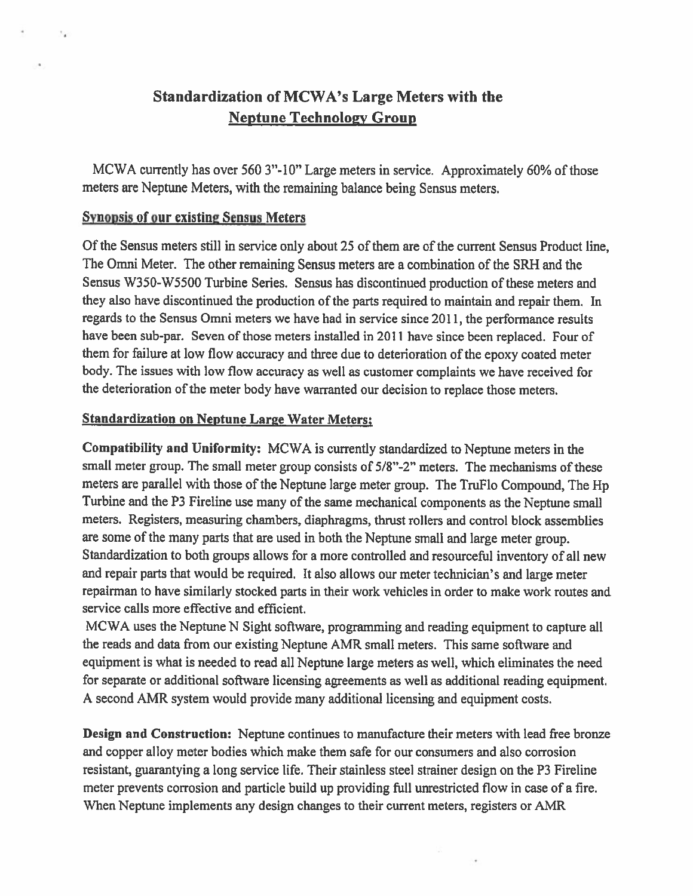## Standardization of MCWA's Large Meters with the **Neptune Technology Group**

MCWA currently has over 560 3"-10" Large meters in service. Approximately 60% of those meters are Neptune Meters, with the remaining balance being Sensus meters.

### **Synopsis of our existing Sensus Meters**

 $\mathcal{I}^{\prime}_{\mathbf{A}}$ 

Of the Sensus meters still in service only about 25 of them are of the current Sensus Product line, The Omni Meter. The other remaining Sensus meters are a combination of the SRH and the Sensus W350-W5500 Turbine Series. Sensus has discontinued production of these meters and they also have discontinued the production of the parts required to maintain and repair them. In regards to the Sensus Omni meters we have had in service since 2011, the performance results have been sub-par. Seven of those meters installed in 2011 have since been replaced. Four of them for failure at low flow accuracy and three due to deterioration of the epoxy coated meter body. The issues with low flow accuracy as well as customer complaints we have received for the deterioration of the meter body have warranted our decision to replace those meters.

#### **Standardization on Neptune Large Water Meters;**

Compatibility and Uniformity: MCWA is currently standardized to Neptune meters in the small meter group. The small meter group consists of 5/8"-2" meters. The mechanisms of these meters are parallel with those of the Neptune large meter group. The TruFlo Compound, The Hp Turbine and the P3 Fireline use many of the same mechanical components as the Neptune small meters. Registers, measuring chambers, diaphragms, thrust rollers and control block assemblies are some of the many parts that are used in both the Neptune small and large meter group. Standardization to both groups allows for a more controlled and resourceful inventory of all new and repair parts that would be required. It also allows our meter technician's and large meter repairman to have similarly stocked parts in their work vehicles in order to make work routes and service calls more effective and efficient.

MCWA uses the Neptune N Sight software, programming and reading equipment to capture all the reads and data from our existing Neptune AMR small meters. This same software and equipment is what is needed to read all Neptune large meters as well, which eliminates the need for separate or additional software licensing agreements as well as additional reading equipment. A second AMR system would provide many additional licensing and equipment costs.

**Design and Construction:** Neptune continues to manufacture their meters with lead free bronze and copper alloy meter bodies which make them safe for our consumers and also corrosion resistant, guarantying a long service life. Their stainless steel strainer design on the P3 Fireline meter prevents corrosion and particle build up providing full unrestricted flow in case of a fire. When Neptune implements any design changes to their current meters, registers or AMR